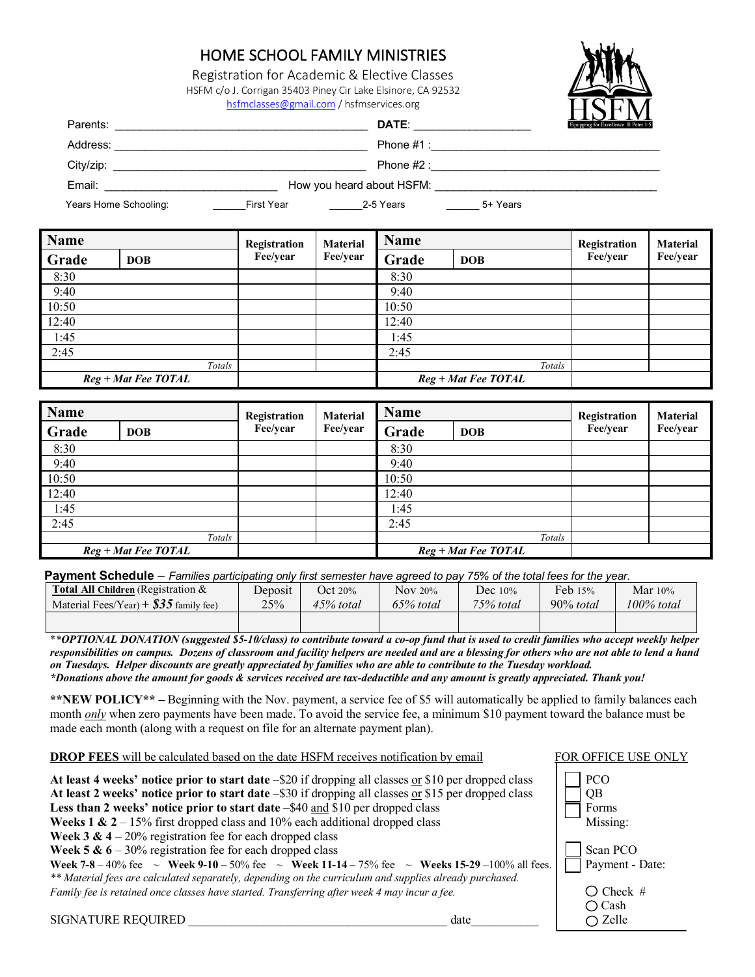#### HOME SCHOOL FAMILY MINISTRIES

Registration for Academic & Elective Classes HSFM c/o J. Corrigan 35403 Piney Cir Lake Elsinore, CA 92532 hsfmclasses@gmail.com / hsfmservices.org



| Parents:              |                   | DATE:                     |          | TTAT TIT<br>Equipping for Excellence II Peter 1:5 |
|-----------------------|-------------------|---------------------------|----------|---------------------------------------------------|
| Address:              |                   | Phone $#1$ :              |          |                                                   |
| City/zip:             |                   | Phone $#2:$               |          |                                                   |
| Email:                |                   | How you heard about HSFM: |          |                                                   |
| Years Home Schooling: | <b>First Year</b> | 2-5 Years                 | 5+ Years |                                                   |

| Name  |                       | Registration | <b>Material</b> | <b>Name</b> |                     | Registration | <b>Material</b> |
|-------|-----------------------|--------------|-----------------|-------------|---------------------|--------------|-----------------|
| Grade | <b>DOB</b>            | Fee/year     | Fee/year        | Grade       | <b>DOB</b>          | Fee/year     | Fee/year        |
| 8:30  |                       |              |                 | 8:30        |                     |              |                 |
| 9:40  |                       |              |                 | 9:40        |                     |              |                 |
| 10:50 |                       |              |                 | 10:50       |                     |              |                 |
| 12:40 |                       |              |                 | 12:40       |                     |              |                 |
| 1:45  |                       |              |                 | 1:45        |                     |              |                 |
| 2:45  |                       |              |                 | 2:45        |                     |              |                 |
|       | Totals                |              |                 |             | Totals              |              |                 |
|       | $Reg + Mat$ Fee TOTAL |              |                 |             | Reg + Mat Fee TOTAL |              |                 |

| Name  |                       | Registration | <b>Material</b> | <b>Name</b> |                       | Registration | <b>Material</b> |
|-------|-----------------------|--------------|-----------------|-------------|-----------------------|--------------|-----------------|
| Grade | <b>DOB</b>            | Fee/year     | Fee/year        | Grade       | <b>DOB</b>            | Fee/year     | Fee/year        |
| 8:30  |                       |              |                 | 8:30        |                       |              |                 |
| 9:40  |                       |              |                 | 9:40        |                       |              |                 |
| 10:50 |                       |              |                 | 10:50       |                       |              |                 |
| 12:40 |                       |              |                 | 12:40       |                       |              |                 |
| 1:45  |                       |              |                 | 1:45        |                       |              |                 |
| 2:45  |                       |              |                 | 2:45        |                       |              |                 |
|       | Totals                |              |                 |             | Totals                |              |                 |
|       | $Reg + Mat$ Fee TOTAL |              |                 |             | $Reg + Mat$ Fee TOTAL |              |                 |

**Payment Schedule** *– Families participating only first semester have agreed to pay 75% of the total fees for the year.*

| <b>Total All Children</b> (Registration $\&$ | Deposit | <b>Oct 20%</b> | <b>Nov 20%</b> | Dec $10\%$  | Feb 15%      | Mar $10\%$ |
|----------------------------------------------|---------|----------------|----------------|-------------|--------------|------------|
| Material Fees/Year) + $\$35$ family fee)     | 25%     | 45% total      | 65% total      | $75%$ total | $90\%$ total | 100% total |
|                                              |         |                |                |             |              |            |

\**\*OPTIONAL DONATION (suggested \$5-10/class) to contribute toward a co-op fund that is used to credit families who accept weekly helper responsibilities on campus. Dozens of classroom and facility helpers are needed and are a blessing for others who are not able to lend a hand on Tuesdays. Helper discounts are greatly appreciated by families who are able to contribute to the Tuesday workload. \*Donations above the amount for goods & services received are tax-deductible and any amount is greatly appreciated. Thank you!*

**\*\*NEW POLICY\*\* –** Beginning with the Nov. payment, a service fee of \$5 will automatically be applied to family balances each month *only* when zero payments have been made. To avoid the service fee, a minimum \$10 payment toward the balance must be made each month (along with a request on file for an alternate payment plan).

| <b>DROP FEES</b> will be calculated based on the date HSFM receives notification by email                                                                                                                                                                                                                                                                                                                                                                                                                                                                                                                                                                                                                                                                                                                                                                     | FOR OFFICE USE ONLY                                                                                         |
|---------------------------------------------------------------------------------------------------------------------------------------------------------------------------------------------------------------------------------------------------------------------------------------------------------------------------------------------------------------------------------------------------------------------------------------------------------------------------------------------------------------------------------------------------------------------------------------------------------------------------------------------------------------------------------------------------------------------------------------------------------------------------------------------------------------------------------------------------------------|-------------------------------------------------------------------------------------------------------------|
| At least 4 weeks' notice prior to start date $-$ \$20 if dropping all classes or \$10 per dropped class<br>At least 2 weeks' notice prior to start date -\$30 if dropping all classes or \$15 per dropped class<br>Less than 2 weeks' notice prior to start date -\$40 and \$10 per dropped class<br><b>Weeks 1 &amp; 2</b> – 15% first dropped class and 10% each additional dropped class<br><b>Week 3 &amp; 4</b> – 20% registration fee for each dropped class<br>Week 5 & $6 - 30\%$ registration fee for each dropped class<br>Week 7-8 - 40% fee $\sim$ Week 9-10 - 50% fee $\sim$ Week 11-14 - 75% fee $\sim$ Weeks 15-29 - 100% all fees.<br>** Material fees are calculated separately, depending on the curriculum and supplies already purchased.<br>Family fee is retained once classes have started. Transferring after week 4 may incur a fee. | <b>PCO</b><br><b>OB</b><br>Forms<br>Missing:<br>Scan PCO<br>Payment - Date:<br>$\bigcirc$ Check #<br>∩ Cash |
| <b>SIGNATURE REQUIRED</b><br>date                                                                                                                                                                                                                                                                                                                                                                                                                                                                                                                                                                                                                                                                                                                                                                                                                             | Zelle                                                                                                       |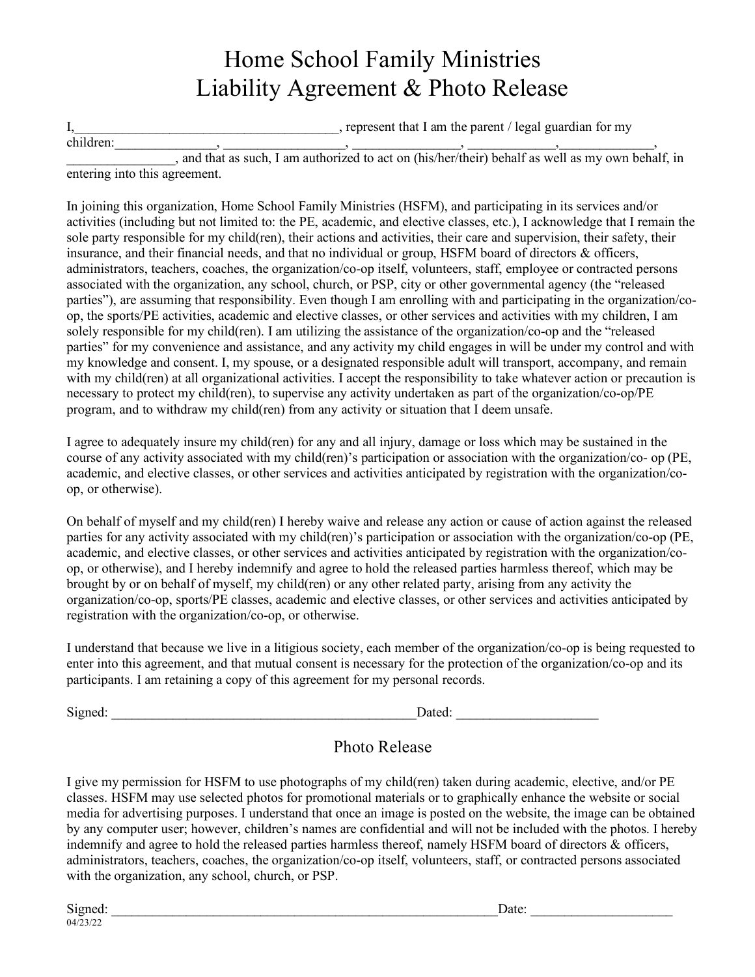# Home School Family Ministries Liability Agreement & Photo Release

I, the parent that I am the parent / legal guardian for my  $children:$   $\qquad \qquad ,$   $\qquad \qquad$ ,  $\qquad \qquad$ ,  $\qquad \qquad$ ,  $\qquad \qquad$ ,  $\qquad \qquad$ ,  $\qquad \qquad$ ,  $\qquad \qquad$ ,  $\qquad \qquad$ ,  $\qquad \qquad$ ,  $\qquad \qquad$ ,  $\qquad \qquad$ ,  $\qquad \qquad$ ,  $\qquad \qquad$ ,  $\qquad \qquad$ ,  $\qquad \qquad$ ,  $\qquad \qquad$ ,  $\qquad \qquad$ ,  $\qquad \qquad$ ,  $\qquad \qquad$ ,  $\qquad \qquad$ ,  $\qquad$ 

\_\_\_\_\_\_\_\_\_\_\_\_\_\_\_\_, and that as such, I am authorized to act on (his/her/their) behalf as well as my own behalf, in entering into this agreement.

In joining this organization, Home School Family Ministries (HSFM), and participating in its services and/or activities (including but not limited to: the PE, academic, and elective classes, etc.), I acknowledge that I remain the sole party responsible for my child(ren), their actions and activities, their care and supervision, their safety, their insurance, and their financial needs, and that no individual or group, HSFM board of directors & officers, administrators, teachers, coaches, the organization/co-op itself, volunteers, staff, employee or contracted persons associated with the organization, any school, church, or PSP, city or other governmental agency (the "released parties"), are assuming that responsibility. Even though I am enrolling with and participating in the organization/coop, the sports/PE activities, academic and elective classes, or other services and activities with my children, I am solely responsible for my child(ren). I am utilizing the assistance of the organization/co-op and the "released parties" for my convenience and assistance, and any activity my child engages in will be under my control and with my knowledge and consent. I, my spouse, or a designated responsible adult will transport, accompany, and remain with my child(ren) at all organizational activities. I accept the responsibility to take whatever action or precaution is necessary to protect my child(ren), to supervise any activity undertaken as part of the organization/co-op/PE program, and to withdraw my child(ren) from any activity or situation that I deem unsafe.

I agree to adequately insure my child(ren) for any and all injury, damage or loss which may be sustained in the course of any activity associated with my child(ren)'s participation or association with the organization/co- op (PE, academic, and elective classes, or other services and activities anticipated by registration with the organization/coop, or otherwise).

On behalf of myself and my child(ren) I hereby waive and release any action or cause of action against the released parties for any activity associated with my child(ren)'s participation or association with the organization/co-op (PE, academic, and elective classes, or other services and activities anticipated by registration with the organization/coop, or otherwise), and I hereby indemnify and agree to hold the released parties harmless thereof, which may be brought by or on behalf of myself, my child(ren) or any other related party, arising from any activity the organization/co-op, sports/PE classes, academic and elective classes, or other services and activities anticipated by registration with the organization/co-op, or otherwise.

I understand that because we live in a litigious society, each member of the organization/co-op is being requested to enter into this agreement, and that mutual consent is necessary for the protection of the organization/co-op and its participants. I am retaining a copy of this agreement for my personal records.

 $Signed:$ 

| Dated: |  |  |  |  |
|--------|--|--|--|--|
|        |  |  |  |  |

#### Photo Release

I give my permission for HSFM to use photographs of my child(ren) taken during academic, elective, and/or PE classes. HSFM may use selected photos for promotional materials or to graphically enhance the website or social media for advertising purposes. I understand that once an image is posted on the website, the image can be obtained by any computer user; however, children's names are confidential and will not be included with the photos. I hereby indemnify and agree to hold the released parties harmless thereof, namely HSFM board of directors & officers, administrators, teachers, coaches, the organization/co-op itself, volunteers, staff, or contracted persons associated with the organization, any school, church, or PSP.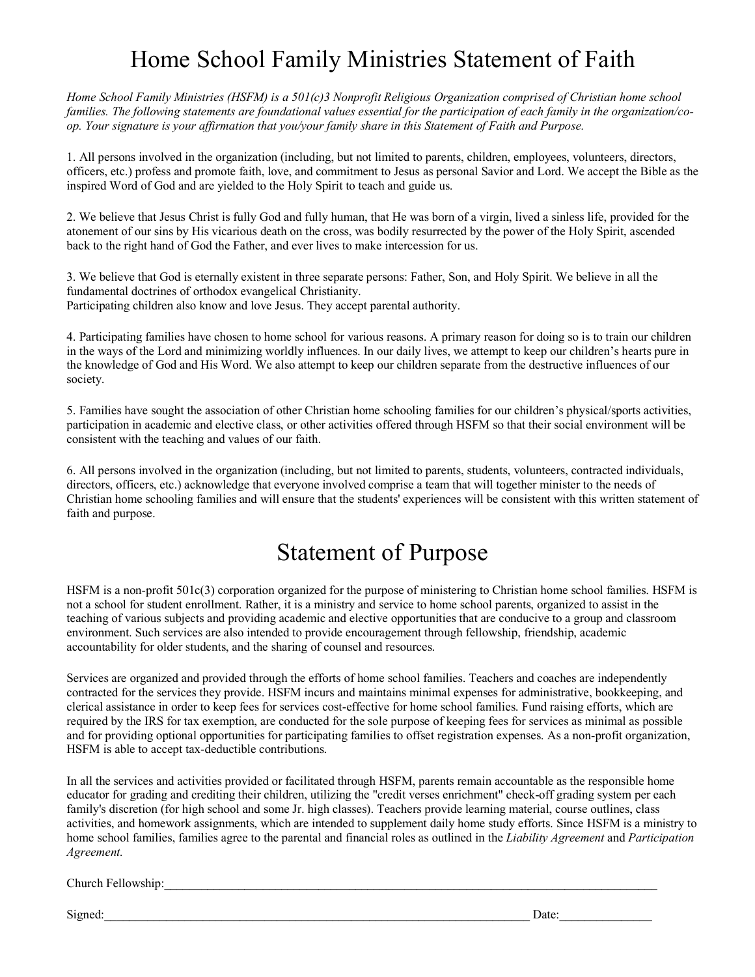# Home School Family Ministries Statement of Faith

*Home School Family Ministries (HSFM) is a 501(c)3 Nonprofit Religious Organization comprised of Christian home school families. The following statements are foundational values essential for the participation of each family in the organization/coop. Your signature is your affirmation that you/your family share in this Statement of Faith and Purpose.* 

1. All persons involved in the organization (including, but not limited to parents, children, employees, volunteers, directors, officers, etc.) profess and promote faith, love, and commitment to Jesus as personal Savior and Lord. We accept the Bible as the inspired Word of God and are yielded to the Holy Spirit to teach and guide us.

2. We believe that Jesus Christ is fully God and fully human, that He was born of a virgin, lived a sinless life, provided for the atonement of our sins by His vicarious death on the cross, was bodily resurrected by the power of the Holy Spirit, ascended back to the right hand of God the Father, and ever lives to make intercession for us.

3. We believe that God is eternally existent in three separate persons: Father, Son, and Holy Spirit. We believe in all the fundamental doctrines of orthodox evangelical Christianity. Participating children also know and love Jesus. They accept parental authority.

4. Participating families have chosen to home school for various reasons. A primary reason for doing so is to train our children in the ways of the Lord and minimizing worldly influences. In our daily lives, we attempt to keep our children's hearts pure in the knowledge of God and His Word. We also attempt to keep our children separate from the destructive influences of our society.

5. Families have sought the association of other Christian home schooling families for our children's physical/sports activities, participation in academic and elective class, or other activities offered through HSFM so that their social environment will be consistent with the teaching and values of our faith.

6. All persons involved in the organization (including, but not limited to parents, students, volunteers, contracted individuals, directors, officers, etc.) acknowledge that everyone involved comprise a team that will together minister to the needs of Christian home schooling families and will ensure that the students' experiences will be consistent with this written statement of faith and purpose.

#### Statement of Purpose

HSFM is a non-profit 501c(3) corporation organized for the purpose of ministering to Christian home school families. HSFM is not a school for student enrollment. Rather, it is a ministry and service to home school parents, organized to assist in the teaching of various subjects and providing academic and elective opportunities that are conducive to a group and classroom environment. Such services are also intended to provide encouragement through fellowship, friendship, academic accountability for older students, and the sharing of counsel and resources.

Services are organized and provided through the efforts of home school families. Teachers and coaches are independently contracted for the services they provide. HSFM incurs and maintains minimal expenses for administrative, bookkeeping, and clerical assistance in order to keep fees for services cost-effective for home school families. Fund raising efforts, which are required by the IRS for tax exemption, are conducted for the sole purpose of keeping fees for services as minimal as possible and for providing optional opportunities for participating families to offset registration expenses. As a non-profit organization, HSFM is able to accept tax-deductible contributions.

In all the services and activities provided or facilitated through HSFM, parents remain accountable as the responsible home educator for grading and crediting their children, utilizing the "credit verses enrichment" check-off grading system per each family's discretion (for high school and some Jr. high classes). Teachers provide learning material, course outlines, class activities, and homework assignments, which are intended to supplement daily home study efforts. Since HSFM is a ministry to home school families, families agree to the parental and financial roles as outlined in the *Liability Agreement* and *Participation Agreement.* 

Church Fellowship:

Signed:\_\_\_\_\_\_\_\_\_\_\_\_\_\_\_\_\_\_\_\_\_\_\_\_\_\_\_\_\_\_\_\_\_\_\_\_\_\_\_\_\_\_\_\_\_\_\_\_\_\_\_\_\_\_\_\_\_\_\_\_\_\_\_\_\_\_\_\_\_ Date:\_\_\_\_\_\_\_\_\_\_\_\_\_\_\_